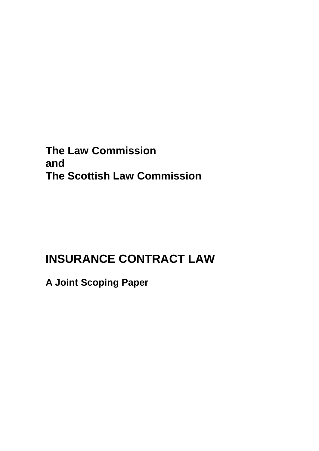**The Law Commission and The Scottish Law Commission**

# **INSURANCE CONTRACT LAW**

**A Joint Scoping Paper**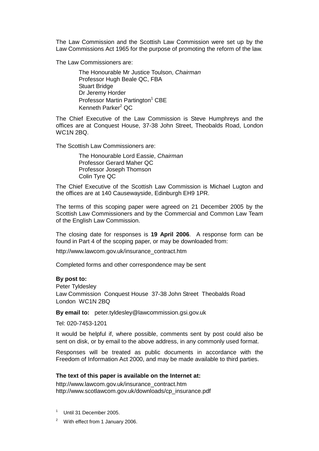The Law Commission and the Scottish Law Commission were set up by the Law Commissions Act 1965 for the purpose of promoting the reform of the law.

The Law Commissioners are:

The Honourable Mr Justice Toulson, *Chairman* Professor Hugh Beale QC, FBA Stuart Bridge Dr Jeremy Horder Professor Martin Partington<sup>1</sup> CBE Kenneth Parker<sup>2</sup> QC

The Chief Executive of the Law Commission is Steve Humphreys and the offices are at Conquest House, 37-38 John Street, Theobalds Road, London WC1N 2BQ.

The Scottish Law Commissioners are:

The Honourable Lord Eassie, *Chairman* Professor Gerard Maher QC Professor Joseph Thomson Colin Tyre QC

The Chief Executive of the Scottish Law Commission is Michael Lugton and the offices are at 140 Causewayside, Edinburgh EH9 1PR.

The terms of this scoping paper were agreed on 21 December 2005 by the Scottish Law Commissioners and by the Commercial and Common Law Team of the English Law Commission.

The closing date for responses is **19 April 2006**. A response form can be found in Part 4 of the scoping paper, or may be downloaded from:

http://www.lawcom.gov.uk/insurance\_contract.htm

Completed forms and other correspondence may be sent

#### **By post to:**

Peter Tyldesley Law Commission Conquest House 37-38 John Street Theobalds Road London WC1N 2BQ

**By email to:** peter.tyldesley@lawcommission.gsi.gov.uk

Tel: 020-7453-1201

It would be helpful if, where possible, comments sent by post could also be sent on disk, or by email to the above address, in any commonly used format.

Responses will be treated as public documents in accordance with the Freedom of Information Act 2000, and may be made available to third parties.

#### **The text of this paper is available on the Internet at:**

http://www.lawcom.gov.uk/insurance\_contract.htm http://www.scotlawcom.gov.uk/downloads/cp\_insurance.pdf

- 1 Until 31 December 2005.
- $2^2$  With effect from 1 January 2006.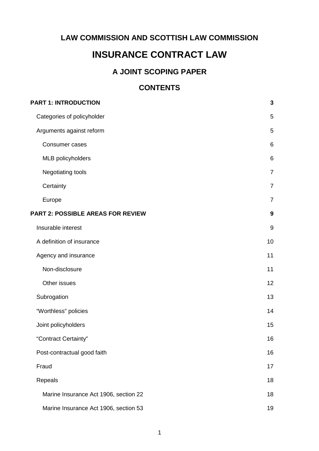### **LAW COMMISSION AND SCOTTISH LAW COMMISSION**

### **INSURANCE CONTRACT LAW**

### **A JOINT SCOPING PAPER**

### **CONTENTS**

| <b>PART 1: INTRODUCTION</b>              | 3                |
|------------------------------------------|------------------|
| Categories of policyholder               | 5                |
| Arguments against reform                 | 5                |
| Consumer cases                           | $6\phantom{1}$   |
| <b>MLB</b> policyholders                 | $\,6$            |
| Negotiating tools                        | $\overline{7}$   |
| Certainty                                | $\overline{7}$   |
| Europe                                   | $\overline{7}$   |
| <b>PART 2: POSSIBLE AREAS FOR REVIEW</b> | $\boldsymbol{9}$ |
| Insurable interest                       | $9\,$            |
| A definition of insurance                | 10               |
| Agency and insurance                     | 11               |
| Non-disclosure                           | 11               |
| Other issues                             | 12               |
| Subrogation                              | 13               |
| "Worthless" policies                     | 14               |
| Joint policyholders                      | 15               |
| "Contract Certainty"                     | 16               |
| Post-contractual good faith              | 16               |
| Fraud                                    | 17               |
| Repeals                                  | 18               |
| Marine Insurance Act 1906, section 22    | 18               |
| Marine Insurance Act 1906, section 53    | 19               |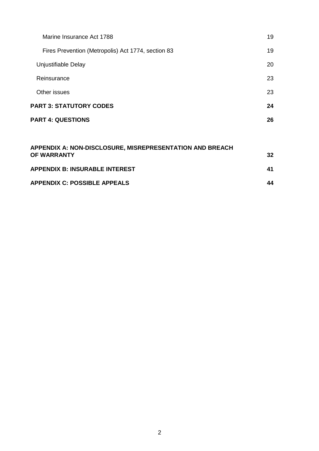| Marine Insurance Act 1788                                | 19 |  |
|----------------------------------------------------------|----|--|
| Fires Prevention (Metropolis) Act 1774, section 83       | 19 |  |
| Unjustifiable Delay                                      | 20 |  |
| Reinsurance                                              | 23 |  |
| Other issues                                             | 23 |  |
| <b>PART 3: STATUTORY CODES</b>                           | 24 |  |
| <b>PART 4: QUESTIONS</b>                                 | 26 |  |
|                                                          |    |  |
| APPENDIX A: NON-DISCLOSURE, MISREPRESENTATION AND BREACH |    |  |

| <u>AFFENDIA A. NON-DISCLOSURE, MISREFRESEN I ATION AND BREACH</u><br>OF WARRANTY | 32 |
|----------------------------------------------------------------------------------|----|
| <b>APPENDIX B: INSURABLE INTEREST</b>                                            | 41 |
| <b>APPENDIX C: POSSIBLE APPEALS</b>                                              | 44 |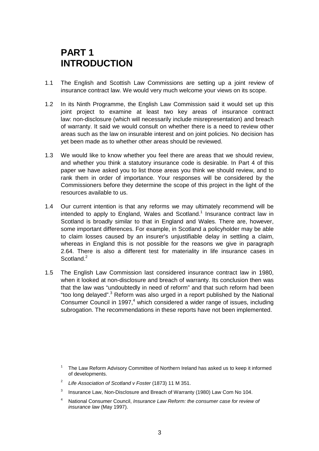## **PART 1 INTRODUCTION**

- 1.1 The English and Scottish Law Commissions are setting up a joint review of insurance contract law. We would very much welcome your views on its scope.
- 1.2 In its Ninth Programme, the English Law Commission said it would set up this joint project to examine at least two key areas of insurance contract law: non-disclosure (which will necessarily include misrepresentation) and breach of warranty. It said we would consult on whether there is a need to review other areas such as the law on insurable interest and on joint policies. No decision has yet been made as to whether other areas should be reviewed.
- 1.3 We would like to know whether you feel there are areas that we should review, and whether you think a statutory insurance code is desirable. In Part 4 of this paper we have asked you to list those areas you think we should review, and to rank them in order of importance. Your responses will be considered by the Commissioners before they determine the scope of this project in the light of the resources available to us.
- 1.4 Our current intention is that any reforms we may ultimately recommend will be intended to apply to England, Wales and Scotland.<sup>1</sup> Insurance contract law in Scotland is broadly similar to that in England and Wales. There are, however, some important differences. For example, in Scotland a policyholder may be able to claim losses caused by an insurer's unjustifiable delay in settling a claim, whereas in England this is not possible for the reasons we give in paragraph 2.64. There is also a different test for materiality in life insurance cases in Scotland<sup>2</sup>
- 1.5 The English Law Commission last considered insurance contract law in 1980, when it looked at non-disclosure and breach of warranty. Its conclusion then was that the law was "undoubtedly in need of reform" and that such reform had been "too long delayed".<sup>3</sup> Reform was also urged in a report published by the National Consumer Council in 1997,<sup>4</sup> which considered a wider range of issues, including subrogation. The recommendations in these reports have not been implemented.

- <sup>2</sup> *Life Association of Scotland v Foster* (1873) 11 M 351.
- Insurance Law, Non-Disclosure and Breach of Warranty (1980) Law Com No 104.
- <sup>4</sup> National Consumer Council, *Insurance Law Reform: the consumer case for review of insurance law* (May 1997).

<sup>&</sup>lt;sup>1</sup> The Law Reform Advisory Committee of Northern Ireland has asked us to keep it informed of developments.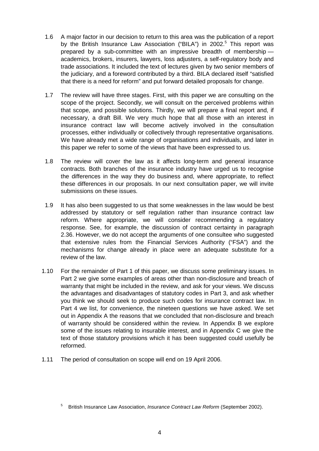- 1.6 A major factor in our decision to return to this area was the publication of a report by the British Insurance Law Association ("BILA") in 2002.<sup>5</sup> This report was prepared by a sub-committee with an impressive breadth of membership academics, brokers, insurers, lawyers, loss adjusters, a self-regulatory body and trade associations. It included the text of lectures given by two senior members of the judiciary, and a foreword contributed by a third. BILA declared itself "satisfied that there is a need for reform" and put forward detailed proposals for change.
- 1.7 The review will have three stages. First, with this paper we are consulting on the scope of the project. Secondly, we will consult on the perceived problems within that scope, and possible solutions. Thirdly, we will prepare a final report and, if necessary, a draft Bill. We very much hope that all those with an interest in insurance contract law will become actively involved in the consultation processes, either individually or collectively through representative organisations. We have already met a wide range of organisations and individuals, and later in this paper we refer to some of the views that have been expressed to us.
- 1.8 The review will cover the law as it affects long-term and general insurance contracts. Both branches of the insurance industry have urged us to recognise the differences in the way they do business and, where appropriate, to reflect these differences in our proposals. In our next consultation paper, we will invite submissions on these issues.
- 1.9 It has also been suggested to us that some weaknesses in the law would be best addressed by statutory or self regulation rather than insurance contract law reform. Where appropriate, we will consider recommending a regulatory response. See, for example, the discussion of contract certainty in paragraph 2.36. However, we do not accept the arguments of one consultee who suggested that extensive rules from the Financial Services Authority ("FSA") and the mechanisms for change already in place were an adequate substitute for a review of the law.
- 1.10 For the remainder of Part 1 of this paper, we discuss some preliminary issues. In Part 2 we give some examples of areas other than non-disclosure and breach of warranty that might be included in the review, and ask for your views. We discuss the advantages and disadvantages of statutory codes in Part 3, and ask whether you think we should seek to produce such codes for insurance contract law. In Part 4 we list, for convenience, the nineteen questions we have asked. We set out in Appendix A the reasons that we concluded that non-disclosure and breach of warranty should be considered within the review. In Appendix B we explore some of the issues relating to insurable interest, and in Appendix C we give the text of those statutory provisions which it has been suggested could usefully be reformed.
- 1.11 The period of consultation on scope will end on 19 April 2006.

<sup>5</sup> British Insurance Law Association, *Insurance Contract Law Reform* (September 2002).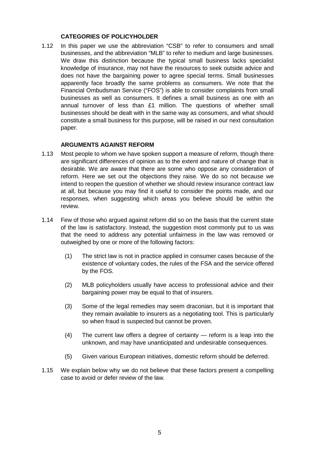#### **CATEGORIES OF POLICYHOLDER**

1.12 In this paper we use the abbreviation "CSB" to refer to consumers and small businesses, and the abbreviation "MLB" to refer to medium and large businesses. We draw this distinction because the typical small business lacks specialist knowledge of insurance, may not have the resources to seek outside advice and does not have the bargaining power to agree special terms. Small businesses apparently face broadly the same problems as consumers. We note that the Financial Ombudsman Service ("FOS") is able to consider complaints from small businesses as well as consumers. It defines a small business as one with an annual turnover of less than £1 million. The questions of whether small businesses should be dealt with in the same way as consumers, and what should constitute a small business for this purpose, will be raised in our next consultation paper.

#### **ARGUMENTS AGAINST REFORM**

- 1.13 Most people to whom we have spoken support a measure of reform, though there are significant differences of opinion as to the extent and nature of change that is desirable. We are aware that there are some who oppose any consideration of reform. Here we set out the objections they raise. We do so not because we intend to reopen the question of whether we should review insurance contract law at all, but because you may find it useful to consider the points made, and our responses, when suggesting which areas you believe should be within the review.
- 1.14 Few of those who argued against reform did so on the basis that the current state of the law is satisfactory. Instead, the suggestion most commonly put to us was that the need to address any potential unfairness in the law was removed or outweighed by one or more of the following factors:
	- (1) The strict law is not in practice applied in consumer cases because of the existence of voluntary codes, the rules of the FSA and the service offered by the FOS.
	- (2) MLB policyholders usually have access to professional advice and their bargaining power may be equal to that of insurers.
	- (3) Some of the legal remedies may seem draconian, but it is important that they remain available to insurers as a negotiating tool. This is particularly so when fraud is suspected but cannot be proven.
	- (4) The current law offers a degree of certainty reform is a leap into the unknown, and may have unanticipated and undesirable consequences.
	- (5) Given various European initiatives, domestic reform should be deferred.
- 1.15 We explain below why we do not believe that these factors present a compelling case to avoid or defer review of the law.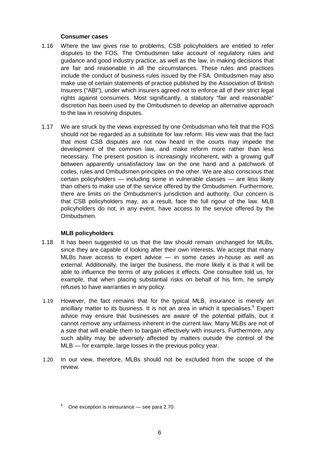#### **Consumer cases**

- 1.16 Where the law gives rise to problems, CSB policyholders are entitled to refer disputes to the FOS. The Ombudsmen take account of regulatory rules and guidance and good industry practice, as well as the law, in making decisions that are fair and reasonable in all the circumstances. These rules and practices include the conduct of business rules issued by the FSA. Ombudsmen may also make use of certain statements of practice published by the Association of British Insurers ("ABI"), under which insurers agreed not to enforce all of their strict legal rights against consumers. Most significantly, a statutory "fair and reasonable" discretion has been used by the Ombudsmen to develop an alternative approach to the law in resolving disputes.
- 1.17 We are struck by the views expressed by one Ombudsman who felt that the FOS should not be regarded as a substitute for law reform. His view was that the fact that most CSB disputes are not now heard in the courts may impede the development of the common law, and make reform more rather than less necessary. The present position is increasingly incoherent, with a growing gulf between apparently unsatisfactory law on the one hand and a patchwork of codes, rules and Ombudsmen principles on the other. We are also conscious that certain policyholders — including some in vulnerable classes — are less likely than others to make use of the service offered by the Ombudsmen. Furthermore, there are limits on the Ombudsmen's jurisdiction and authority. Our concern is that CSB policyholders may, as a result, face the full rigour of the law. MLB policyholders do not, in any event, have access to the service offered by the Ombudsmen.

#### **MLB policyholders**

- 1.18 It has been suggested to us that the law should remain unchanged for MLBs, since they are capable of looking after their own interests. We accept that many MLBs have access to expert advice — in some cases in-house as well as external. Additionally, the larger the business, the more likely it is that it will be able to influence the terms of any policies it effects. One consultee told us, for example, that when placing substantial risks on behalf of his firm, he simply refuses to have warranties in any policy.
- 1.19 However, the fact remains that for the typical MLB, insurance is merely an ancillary matter to its business. It is not an area in which it specialises.<sup>6</sup> Expert advice may ensure that businesses are aware of the potential pitfalls, but it cannot remove any unfairness inherent in the current law. Many MLBs are not of a size that will enable them to bargain effectively with insurers. Furthermore, any such ability may be adversely affected by matters outside the control of the MLB — for example, large losses in the previous policy year.
- 1.20 In our view, therefore, MLBs should not be excluded from the scope of the review.

<sup>6</sup> One exception is reinsurance — see para 2.70.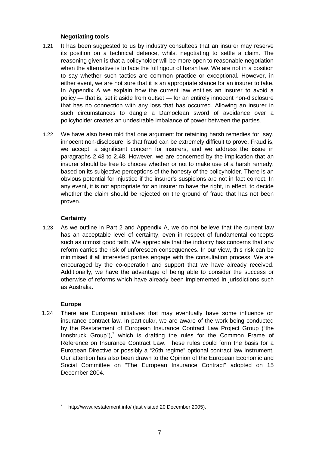#### **Negotiating tools**

- 1.21 It has been suggested to us by industry consultees that an insurer may reserve its position on a technical defence, whilst negotiating to settle a claim. The reasoning given is that a policyholder will be more open to reasonable negotiation when the alternative is to face the full rigour of harsh law. We are not in a position to say whether such tactics are common practice or exceptional. However, in either event, we are not sure that it is an appropriate stance for an insurer to take. In Appendix A we explain how the current law entitles an insurer to avoid a policy — that is, set it aside from outset — for an entirely innocent non-disclosure that has no connection with any loss that has occurred. Allowing an insurer in such circumstances to dangle a Damoclean sword of avoidance over a policyholder creates an undesirable imbalance of power between the parties.
- 1.22 We have also been told that one argument for retaining harsh remedies for, say, innocent non-disclosure, is that fraud can be extremely difficult to prove. Fraud is, we accept, a significant concern for insurers, and we address the issue in paragraphs 2.43 to 2.48. However, we are concerned by the implication that an insurer should be free to choose whether or not to make use of a harsh remedy, based on its subjective perceptions of the honesty of the policyholder. There is an obvious potential for injustice if the insurer's suspicions are not in fact correct. In any event, it is not appropriate for an insurer to have the right, in effect, to decide whether the claim should be rejected on the ground of fraud that has not been proven.

#### **Certainty**

1.23 As we outline in Part 2 and Appendix A, we do not believe that the current law has an acceptable level of certainty, even in respect of fundamental concepts such as utmost good faith. We appreciate that the industry has concerns that any reform carries the risk of unforeseen consequences. In our view, this risk can be minimised if all interested parties engage with the consultation process. We are encouraged by the co-operation and support that we have already received. Additionally, we have the advantage of being able to consider the success or otherwise of reforms which have already been implemented in jurisdictions such as Australia.

#### **Europe**

1.24 There are European initiatives that may eventually have some influence on insurance contract law. In particular, we are aware of the work being conducted by the Restatement of European Insurance Contract Law Project Group ("the Innsbruck Group"), $7$  which is drafting the rules for the Common Frame of Reference on Insurance Contract Law. These rules could form the basis for a European Directive or possibly a "26th regime" optional contract law instrument. Our attention has also been drawn to the Opinion of the European Economic and Social Committee on "The European Insurance Contract" adopted on 15 December 2004.

http://www.restatement.info/ (last visited 20 December 2005).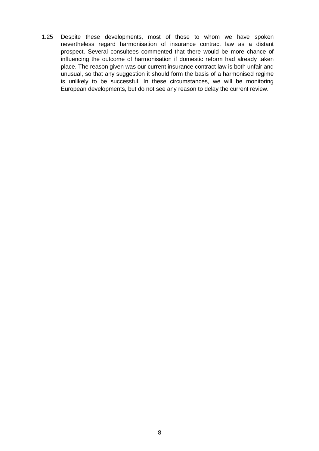1.25 Despite these developments, most of those to whom we have spoken nevertheless regard harmonisation of insurance contract law as a distant prospect. Several consultees commented that there would be more chance of influencing the outcome of harmonisation if domestic reform had already taken place. The reason given was our current insurance contract law is both unfair and unusual, so that any suggestion it should form the basis of a harmonised regime is unlikely to be successful. In these circumstances, we will be monitoring European developments, but do not see any reason to delay the current review.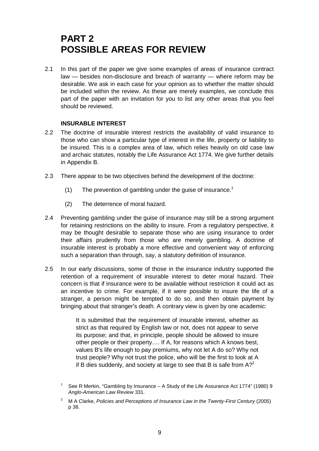## **PART 2 POSSIBLE AREAS FOR REVIEW**

2.1 In this part of the paper we give some examples of areas of insurance contract law — besides non-disclosure and breach of warranty — where reform may be desirable. We ask in each case for your opinion as to whether the matter should be included within the review. As these are merely examples, we conclude this part of the paper with an invitation for you to list any other areas that you feel should be reviewed.

#### **INSURABLE INTEREST**

- 2.2 The doctrine of insurable interest restricts the availability of valid insurance to those who can show a particular type of interest in the life, property or liability to be insured. This is a complex area of law, which relies heavily on old case law and archaic statutes, notably the Life Assurance Act 1774. We give further details in Appendix B.
- 2.3 There appear to be two objectives behind the development of the doctrine:
	- (1) The prevention of gambling under the guise of insurance.<sup>1</sup>
	- (2) The deterrence of moral hazard.
- 2.4 Preventing gambling under the guise of insurance may still be a strong argument for retaining restrictions on the ability to insure. From a regulatory perspective, it may be thought desirable to separate those who are using insurance to order their affairs prudently from those who are merely gambling. A doctrine of insurable interest is probably a more effective and convenient way of enforcing such a separation than through, say, a statutory definition of insurance.
- 2.5 In our early discussions, some of those in the insurance industry supported the retention of a requirement of insurable interest to deter moral hazard. Their concern is that if insurance were to be available without restriction it could act as an incentive to crime. For example, if it were possible to insure the life of a stranger, a person might be tempted to do so, and then obtain payment by bringing about that stranger's death. A contrary view is given by one academic:

It is submitted that the requirement of insurable interest, whether as strict as that required by English law or not, does not appear to serve its purpose; and that, in principle, people should be allowed to insure other people or their property…. If A, for reasons which A knows best, values B's life enough to pay premiums, why not let A do so? Why not trust people? Why not trust the police, who will be the first to look at A if B dies suddenly, and society at large to see that B is safe from  $A<sup>2</sup>$ 

<sup>1</sup> See R Merkin, "Gambling by Insurance – A Study of the Life Assurance Act 1774" (1980) 9 *Anglo-American Law Review* 331.

<sup>&</sup>lt;sup>2</sup> M A Clarke. *Policies and Perceptions of Insurance Law in the Twenty-First Century* (2005) p 38.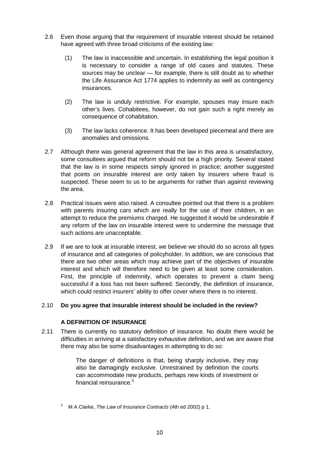- 2.6 Even those arguing that the requirement of insurable interest should be retained have agreed with three broad criticisms of the existing law:
	- (1) The law is inaccessible and uncertain. In establishing the legal position it is necessary to consider a range of old cases and statutes. These sources may be unclear — for example, there is still doubt as to whether the Life Assurance Act 1774 applies to indemnity as well as contingency insurances.
	- (2) The law is unduly restrictive. For example, spouses may insure each other's lives. Cohabitees, however, do not gain such a right merely as consequence of cohabitation.
	- (3) The law lacks coherence. It has been developed piecemeal and there are anomalies and omissions.
- 2.7 Although there was general agreement that the law in this area is unsatisfactory, some consultees argued that reform should not be a high priority. Several stated that the law is in some respects simply ignored in practice; another suggested that points on insurable interest are only taken by insurers where fraud is suspected. These seem to us to be arguments for rather than against reviewing the area.
- 2.8 Practical issues were also raised. A consultee pointed out that there is a problem with parents insuring cars which are really for the use of their children, in an attempt to reduce the premiums charged. He suggested it would be undesirable if any reform of the law on insurable interest were to undermine the message that such actions are unacceptable.
- 2.9 If we are to look at insurable interest, we believe we should do so across all types of insurance and all categories of policyholder. In addition, we are conscious that there are two other areas which may achieve part of the objectives of insurable interest and which will therefore need to be given at least some consideration. First, the principle of indemnity, which operates to prevent a claim being successful if a loss has not been suffered. Secondly, the definition of insurance, which could restrict insurers' ability to offer cover where there is no interest.

#### 2.10 **Do you agree that insurable interest should be included in the review?**

#### **A DEFINITION OF INSURANCE**

2.11 There is currently no statutory definition of insurance. No doubt there would be difficulties in arriving at a satisfactory exhaustive definition, and we are aware that there may also be some disadvantages in attempting to do so:

> The danger of definitions is that, being sharply inclusive, they may also be damagingly exclusive. Unrestrained by definition the courts can accommodate new products, perhaps new kinds of investment or financial reinsurance.<sup>3</sup>

<sup>3</sup> M A Clarke, *The Law of Insurance Contracts* (4th ed 2002) p 1.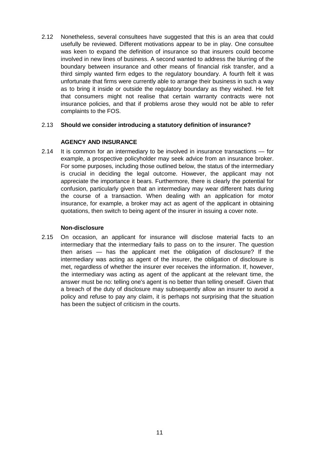2.12 Nonetheless, several consultees have suggested that this is an area that could usefully be reviewed. Different motivations appear to be in play. One consultee was keen to expand the definition of insurance so that insurers could become involved in new lines of business. A second wanted to address the blurring of the boundary between insurance and other means of financial risk transfer, and a third simply wanted firm edges to the regulatory boundary. A fourth felt it was unfortunate that firms were currently able to arrange their business in such a way as to bring it inside or outside the regulatory boundary as they wished. He felt that consumers might not realise that certain warranty contracts were not insurance policies, and that if problems arose they would not be able to refer complaints to the FOS.

#### 2.13 **Should we consider introducing a statutory definition of insurance?**

#### **AGENCY AND INSURANCE**

2.14 It is common for an intermediary to be involved in insurance transactions — for example, a prospective policyholder may seek advice from an insurance broker. For some purposes, including those outlined below, the status of the intermediary is crucial in deciding the legal outcome. However, the applicant may not appreciate the importance it bears. Furthermore, there is clearly the potential for confusion, particularly given that an intermediary may wear different hats during the course of a transaction. When dealing with an application for motor insurance, for example, a broker may act as agent of the applicant in obtaining quotations, then switch to being agent of the insurer in issuing a cover note.

#### **Non-disclosure**

2.15 On occasion, an applicant for insurance will disclose material facts to an intermediary that the intermediary fails to pass on to the insurer. The question then arises — has the applicant met the obligation of disclosure? If the intermediary was acting as agent of the insurer, the obligation of disclosure is met, regardless of whether the insurer ever receives the information. If, however, the intermediary was acting as agent of the applicant at the relevant time, the answer must be no: telling one's agent is no better than telling oneself. Given that a breach of the duty of disclosure may subsequently allow an insurer to avoid a policy and refuse to pay any claim, it is perhaps not surprising that the situation has been the subject of criticism in the courts.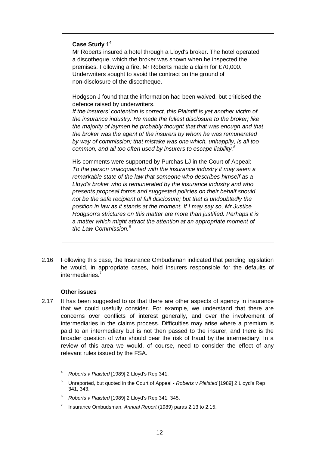#### **Case Study 1<sup>4</sup>**

Mr Roberts insured a hotel through a Lloyd's broker. The hotel operated a discotheque, which the broker was shown when he inspected the premises. Following a fire, Mr Roberts made a claim for £70,000. Underwriters sought to avoid the contract on the ground of non-disclosure of the discotheque.

Hodgson J found that the information had been waived, but criticised the defence raised by underwriters.

*If the insurers' contention is correct, this Plaintiff is yet another victim of the insurance industry. He made the fullest disclosure to the broker; like the majority of laymen he probably thought that that was enough and that the broker was the agent of the insurers by whom he was remunerated by way of commission; that mistake was one which, unhappily, is all too common, and all too often used by insurers to escape liability.<sup>5</sup>*

His comments were supported by Purchas LJ in the Court of Appeal: *To the person unacquainted with the insurance industry it may seem a remarkable state of the law that someone who describes himself as a Lloyd's broker who is remunerated by the insurance industry and who presents proposal forms and suggested policies on their behalf should not be the safe recipient of full disclosure; but that is undoubtedly the position in law as it stands at the moment. If I may say so, Mr Justice Hodgson's strictures on this matter are more than justified. Perhaps it is a matter which might attract the attention at an appropriate moment of the Law Commission.6*

2.16 Following this case, the Insurance Ombudsman indicated that pending legislation he would, in appropriate cases, hold insurers responsible for the defaults of intermediaries.7

#### **Other issues**

- 2.17 It has been suggested to us that there are other aspects of agency in insurance that we could usefully consider. For example, we understand that there are concerns over conflicts of interest generally, and over the involvement of intermediaries in the claims process. Difficulties may arise where a premium is paid to an intermediary but is not then passed to the insurer, and there is the broader question of who should bear the risk of fraud by the intermediary. In a review of this area we would, of course, need to consider the effect of any relevant rules issued by the FSA.
	- <sup>4</sup> *Roberts v Plaisted* [1989] 2 Lloyd's Rep 341.
	- <sup>5</sup> Unreported, but quoted in the Court of Appeal *Roberts v Plaisted* [1989] 2 Lloyd's Rep 341, 343.
	- <sup>6</sup> *Roberts v Plaisted* [1989] 2 Lloyd's Rep 341, 345.
	- <sup>7</sup> Insurance Ombudsman, *Annual Report* (1989) paras 2.13 to 2.15.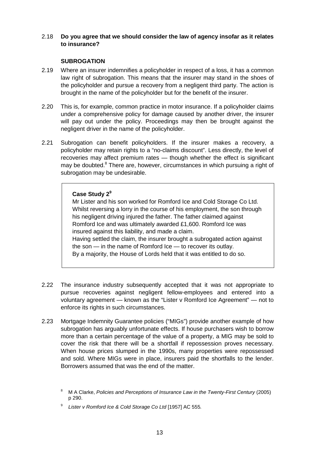#### 2.18 **Do you agree that we should consider the law of agency insofar as it relates to insurance?**

#### **SUBROGATION**

- 2.19 Where an insurer indemnifies a policyholder in respect of a loss, it has a common law right of subrogation. This means that the insurer may stand in the shoes of the policyholder and pursue a recovery from a negligent third party. The action is brought in the name of the policyholder but for the benefit of the insurer.
- 2.20 This is, for example, common practice in motor insurance. If a policyholder claims under a comprehensive policy for damage caused by another driver, the insurer will pay out under the policy. Proceedings may then be brought against the negligent driver in the name of the policyholder.
- 2.21 Subrogation can benefit policyholders. If the insurer makes a recovery, a policyholder may retain rights to a "no-claims discount". Less directly, the level of recoveries may affect premium rates — though whether the effect is significant may be doubted.<sup>8</sup> There are, however, circumstances in which pursuing a right of subrogation may be undesirable.

#### **Case Study 2<sup>9</sup>**

Mr Lister and his son worked for Romford Ice and Cold Storage Co Ltd. Whilst reversing a lorry in the course of his employment, the son through his negligent driving injured the father. The father claimed against Romford Ice and was ultimately awarded £1,600. Romford Ice was insured against this liability, and made a claim. Having settled the claim, the insurer brought a subrogated action against the son — in the name of Romford Ice — to recover its outlay.

By a majority, the House of Lords held that it was entitled to do so.

- 2.22 The insurance industry subsequently accepted that it was not appropriate to pursue recoveries against negligent fellow-employees and entered into a voluntary agreement — known as the "Lister v Romford Ice Agreement" — not to enforce its rights in such circumstances.
- 2.23 Mortgage Indemnity Guarantee policies ("MIGs") provide another example of how subrogation has arguably unfortunate effects. If house purchasers wish to borrow more than a certain percentage of the value of a property, a MIG may be sold to cover the risk that there will be a shortfall if repossession proves necessary. When house prices slumped in the 1990s, many properties were repossessed and sold. Where MIGs were in place, insurers paid the shortfalls to the lender. Borrowers assumed that was the end of the matter.

<sup>8</sup> M A Clarke, *Policies and Perceptions of Insurance Law in the Twenty-First Century* (2005) p 290.

<sup>9</sup> *Lister v Romford Ice & Cold Storage Co Ltd* [1957] AC 555*.*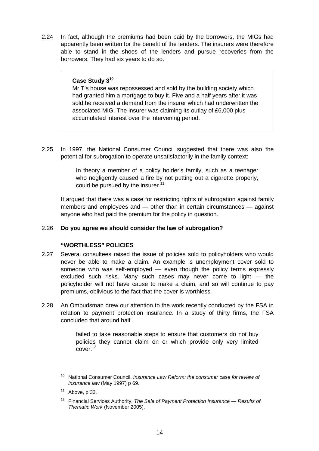2.24 In fact, although the premiums had been paid by the borrowers, the MIGs had apparently been written for the benefit of the lenders. The insurers were therefore able to stand in the shoes of the lenders and pursue recoveries from the borrowers. They had six years to do so.

#### **Case Study 3<sup>10</sup>**

Mr T's house was repossessed and sold by the building society which had granted him a mortgage to buy it. Five and a half years after it was sold he received a demand from the insurer which had underwritten the associated MIG. The insurer was claiming its outlay of £6,000 plus accumulated interest over the intervening period.

2.25 In 1997, the National Consumer Council suggested that there was also the potential for subrogation to operate unsatisfactorily in the family context:

> In theory a member of a policy holder's family, such as a teenager who negligently caused a fire by not putting out a cigarette properly, could be pursued by the insurer. $11$

It argued that there was a case for restricting rights of subrogation against family members and employees and — other than in certain circumstances — against anyone who had paid the premium for the policy in question.

#### 2.26 **Do you agree we should consider the law of subrogation?**

#### **"WORTHLESS" POLICIES**

- 2.27 Several consultees raised the issue of policies sold to policyholders who would never be able to make a claim. An example is unemployment cover sold to someone who was self-employed — even though the policy terms expressly excluded such risks. Many such cases may never come to light — the policyholder will not have cause to make a claim, and so will continue to pay premiums, oblivious to the fact that the cover is worthless.
- 2.28 An Ombudsman drew our attention to the work recently conducted by the FSA in relation to payment protection insurance. In a study of thirty firms, the FSA concluded that around half

failed to take reasonable steps to ensure that customers do not buy policies they cannot claim on or which provide only very limited cover.<sup>12</sup>

<sup>12</sup> Financial Services Authority, *The Sale of Payment Protection Insurance — Results of Thematic Work* (November 2005).

<sup>10</sup> National Consumer Council, *Insurance Law Reform: the consumer case for review of insurance law* (May 1997) p 69.

 $11$  Above, p 33.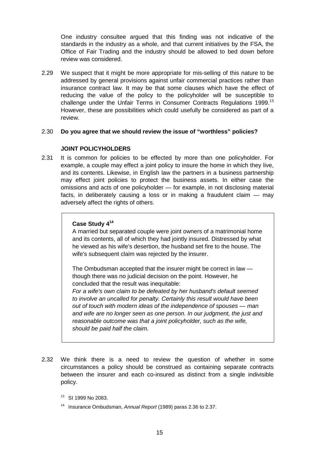One industry consultee argued that this finding was not indicative of the standards in the industry as a whole, and that current initiatives by the FSA, the Office of Fair Trading and the industry should be allowed to bed down before review was considered.

2.29 We suspect that it might be more appropriate for mis-selling of this nature to be addressed by general provisions against unfair commercial practices rather than insurance contract law. It may be that some clauses which have the effect of reducing the value of the policy to the policyholder will be susceptible to challenge under the Unfair Terms in Consumer Contracts Regulations 1999.<sup>13</sup> However, these are possibilities which could usefully be considered as part of a review.

#### 2.30 **Do you agree that we should review the issue of "worthless" policies?**

#### **JOINT POLICYHOLDERS**

2.31 It is common for policies to be effected by more than one policyholder. For example, a couple may effect a joint policy to insure the home in which they live, and its contents. Likewise, in English law the partners in a business partnership may effect joint policies to protect the business assets. In either case the omissions and acts of one policyholder — for example, in not disclosing material facts, in deliberately causing a loss or in making a fraudulent claim — may adversely affect the rights of others.

#### **Case Study 4<sup>14</sup>**

A married but separated couple were joint owners of a matrimonial home and its contents, all of which they had jointly insured. Distressed by what he viewed as his wife's desertion, the husband set fire to the house. The wife's subsequent claim was rejected by the insurer.

The Ombudsman accepted that the insurer might be correct in law though there was no judicial decision on the point. However, he concluded that the result was inequitable:

*For a wife's own claim to be defeated by her husband's default seemed to involve an uncalled for penalty. Certainly this result would have been out of touch with modern ideas of the independence of spouses — man and wife are no longer seen as one person. In our judgment, the just and reasonable outcome was that a joint policyholder, such as the wife, should be paid half the claim.*

- 2.32 We think there is a need to review the question of whether in some circumstances a policy should be construed as containing separate contracts between the insurer and each co-insured as distinct from a single indivisible policy.
	- <sup>13</sup> SI 1999 No 2083.
	- 14 Insurance Ombudsman, *Annual Report* (1989) paras 2.36 to 2.37.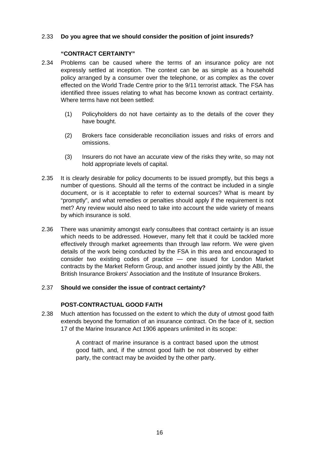#### 2.33 **Do you agree that we should consider the position of joint insureds?**

#### **"CONTRACT CERTAINTY"**

- 2.34 Problems can be caused where the terms of an insurance policy are not expressly settled at inception. The context can be as simple as a household policy arranged by a consumer over the telephone, or as complex as the cover effected on the World Trade Centre prior to the 9/11 terrorist attack. The FSA has identified three issues relating to what has become known as contract certainty. Where terms have not been settled:
	- (1) Policyholders do not have certainty as to the details of the cover they have bought.
	- (2) Brokers face considerable reconciliation issues and risks of errors and omissions.
	- (3) Insurers do not have an accurate view of the risks they write, so may not hold appropriate levels of capital.
- 2.35 It is clearly desirable for policy documents to be issued promptly, but this begs a number of questions. Should all the terms of the contract be included in a single document, or is it acceptable to refer to external sources? What is meant by "promptly", and what remedies or penalties should apply if the requirement is not met? Any review would also need to take into account the wide variety of means by which insurance is sold.
- 2.36 There was unanimity amongst early consultees that contract certainty is an issue which needs to be addressed. However, many felt that it could be tackled more effectively through market agreements than through law reform. We were given details of the work being conducted by the FSA in this area and encouraged to consider two existing codes of practice — one issued for London Market contracts by the Market Reform Group, and another issued jointly by the ABI, the British Insurance Brokers' Association and the Institute of Insurance Brokers.

#### 2.37 **Should we consider the issue of contract certainty?**

#### **POST-CONTRACTUAL GOOD FAITH**

2.38 Much attention has focussed on the extent to which the duty of utmost good faith extends beyond the formation of an insurance contract. On the face of it, section 17 of the Marine Insurance Act 1906 appears unlimited in its scope:

> A contract of marine insurance is a contract based upon the utmost good faith, and, if the utmost good faith be not observed by either party, the contract may be avoided by the other party.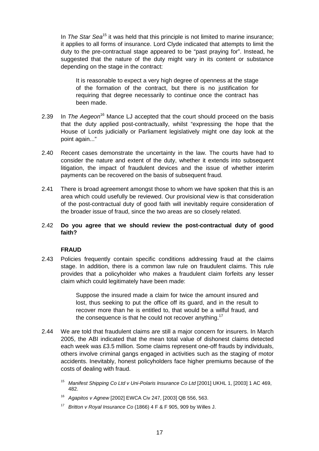In *The Star Sea<sup>15</sup>* it was held that this principle is not limited to marine insurance; it applies to all forms of insurance. Lord Clyde indicated that attempts to limit the duty to the pre-contractual stage appeared to be "past praying for". Instead, he suggested that the nature of the duty might vary in its content or substance depending on the stage in the contract:

It is reasonable to expect a very high degree of openness at the stage of the formation of the contract, but there is no justification for requiring that degree necessarily to continue once the contract has been made.

- 2.39 In *The Aegeon*16 Mance LJ accepted that the court should proceed on the basis that the duty applied post-contractually, whilst "expressing the hope that the House of Lords judicially or Parliament legislatively might one day look at the point again..."
- 2.40 Recent cases demonstrate the uncertainty in the law. The courts have had to consider the nature and extent of the duty, whether it extends into subsequent litigation, the impact of fraudulent devices and the issue of whether interim payments can be recovered on the basis of subsequent fraud.
- 2.41 There is broad agreement amongst those to whom we have spoken that this is an area which could usefully be reviewed. Our provisional view is that consideration of the post-contractual duty of good faith will inevitably require consideration of the broader issue of fraud, since the two areas are so closely related.

#### 2.42 **Do you agree that we should review the post-contractual duty of good faith?**

#### **FRAUD**

2.43 Policies frequently contain specific conditions addressing fraud at the claims stage. In addition, there is a common law rule on fraudulent claims. This rule provides that a policyholder who makes a fraudulent claim forfeits any lesser claim which could legitimately have been made:

> Suppose the insured made a claim for twice the amount insured and lost, thus seeking to put the office off its guard, and in the result to recover more than he is entitled to, that would be a wilful fraud, and the consequence is that he could not recover anything. $17$

- 2.44 We are told that fraudulent claims are still a major concern for insurers. In March 2005, the ABI indicated that the mean total value of dishonest claims detected each week was £3.5 million. Some claims represent one-off frauds by individuals, others involve criminal gangs engaged in activities such as the staging of motor accidents. Inevitably, honest policyholders face higher premiums because of the costs of dealing with fraud.
	- <sup>15</sup> *Manifest Shipping Co Ltd v Uni-Polaris Insurance Co Ltd* [2001] UKHL 1, [2003] 1 AC 469, 482.
	- <sup>16</sup> *Agapitos v Agnew* [2002] EWCA Civ 247, [2003] QB 556, 563.
	- <sup>17</sup> *Britton v Royal Insurance Co* (1866) 4 F & F 905, 909 by Willes J.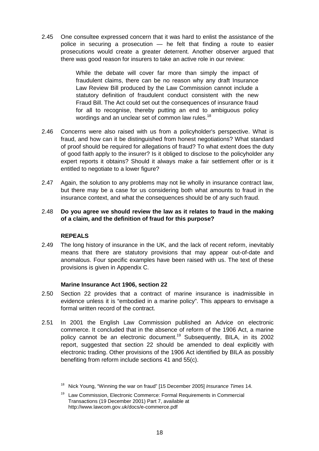2.45 One consultee expressed concern that it was hard to enlist the assistance of the police in securing a prosecution — he felt that finding a route to easier prosecutions would create a greater deterrent. Another observer argued that there was good reason for insurers to take an active role in our review:

> While the debate will cover far more than simply the impact of fraudulent claims, there can be no reason why any draft Insurance Law Review Bill produced by the Law Commission cannot include a statutory definition of fraudulent conduct consistent with the new Fraud Bill. The Act could set out the consequences of insurance fraud for all to recognise, thereby putting an end to ambiguous policy wordings and an unclear set of common law rules.<sup>18</sup>

- 2.46 Concerns were also raised with us from a policyholder's perspective. What is fraud, and how can it be distinguished from honest negotiations? What standard of proof should be required for allegations of fraud? To what extent does the duty of good faith apply to the insurer? Is it obliged to disclose to the policyholder any expert reports it obtains? Should it always make a fair settlement offer or is it entitled to negotiate to a lower figure?
- 2.47 Again, the solution to any problems may not lie wholly in insurance contract law, but there may be a case for us considering both what amounts to fraud in the insurance context, and what the consequences should be of any such fraud.

#### 2.48 **Do you agree we should review the law as it relates to fraud in the making of a claim, and the definition of fraud for this purpose?**

#### **REPEALS**

2.49 The long history of insurance in the UK, and the lack of recent reform, inevitably means that there are statutory provisions that may appear out-of-date and anomalous. Four specific examples have been raised with us. The text of these provisions is given in Appendix C.

#### **Marine Insurance Act 1906, section 22**

- 2.50 Section 22 provides that a contract of marine insurance is inadmissible in evidence unless it is "embodied in a marine policy". This appears to envisage a formal written record of the contract.
- 2.51 In 2001 the English Law Commission published an Advice on electronic commerce. It concluded that in the absence of reform of the 1906 Act, a marine policy cannot be an electronic document.<sup>19</sup> Subsequently, BILA, in its 2002 report, suggested that section 22 should be amended to deal explicitly with electronic trading. Other provisions of the 1906 Act identified by BILA as possibly benefiting from reform include sections 41 and 55(c).
	- <sup>18</sup> Nick Young, "Winning the war on fraud" [15 December 2005] *Insurance Times* 14.

<sup>&</sup>lt;sup>19</sup> Law Commission, Electronic Commerce: Formal Requirements in Commercial Transactions (19 December 2001) Part 7, available at http://www.lawcom.gov.uk/docs/e-commerce.pdf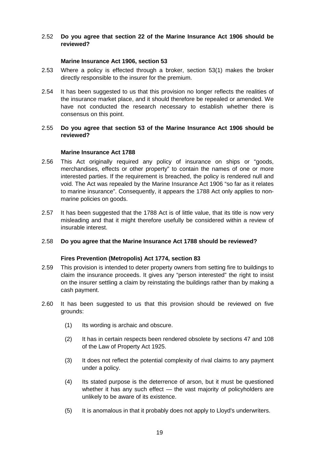#### 2.52 **Do you agree that section 22 of the Marine Insurance Act 1906 should be reviewed?**

#### **Marine Insurance Act 1906, section 53**

- 2.53 Where a policy is effected through a broker, section 53(1) makes the broker directly responsible to the insurer for the premium.
- 2.54 It has been suggested to us that this provision no longer reflects the realities of the insurance market place, and it should therefore be repealed or amended. We have not conducted the research necessary to establish whether there is consensus on this point.

#### 2.55 **Do you agree that section 53 of the Marine Insurance Act 1906 should be reviewed?**

#### **Marine Insurance Act 1788**

- 2.56 This Act originally required any policy of insurance on ships or "goods, merchandises, effects or other property" to contain the names of one or more interested parties. If the requirement is breached, the policy is rendered null and void. The Act was repealed by the Marine Insurance Act 1906 "so far as it relates to marine insurance". Consequently, it appears the 1788 Act only applies to nonmarine policies on goods.
- 2.57 It has been suggested that the 1788 Act is of little value, that its title is now very misleading and that it might therefore usefully be considered within a review of insurable interest.

#### 2.58 **Do you agree that the Marine Insurance Act 1788 should be reviewed?**

#### **Fires Prevention (Metropolis) Act 1774, section 83**

- 2.59 This provision is intended to deter property owners from setting fire to buildings to claim the insurance proceeds. It gives any "person interested" the right to insist on the insurer settling a claim by reinstating the buildings rather than by making a cash payment.
- 2.60 It has been suggested to us that this provision should be reviewed on five grounds:
	- (1) Its wording is archaic and obscure.
	- (2) It has in certain respects been rendered obsolete by sections 47 and 108 of the Law of Property Act 1925.
	- (3) It does not reflect the potential complexity of rival claims to any payment under a policy.
	- (4) Its stated purpose is the deterrence of arson, but it must be questioned whether it has any such effect - the vast majority of policyholders are unlikely to be aware of its existence.
	- (5) It is anomalous in that it probably does not apply to Lloyd's underwriters.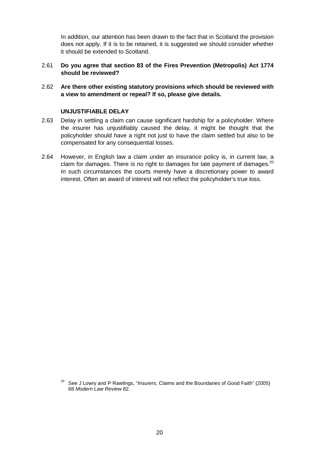In addition, our attention has been drawn to the fact that in Scotland the provision does not apply. If it is to be retained, it is suggested we should consider whether it should be extended to Scotland.

- 2.61 **Do you agree that section 83 of the Fires Prevention (Metropolis) Act 1774 should be reviewed?**
- 2.62 **Are there other existing statutory provisions which should be reviewed with a view to amendment or repeal? If so, please give details.**

#### **UNJUSTIFIABLE DELAY**

- 2.63 Delay in settling a claim can cause significant hardship for a policyholder. Where the insurer has unjustifiably caused the delay, it might be thought that the policyholder should have a right not just to have the claim settled but also to be compensated for any consequential losses.
- 2.64 However, in English law a claim under an insurance policy is, in current law, a claim for damages. There is no right to damages for late payment of damages.<sup>20</sup> In such circumstances the courts merely have a discretionary power to award interest. Often an award of interest will not reflect the policyholder's true loss.

 $20$  See J Lowry and P Rawlings, "Insurers, Claims and the Boundaries of Good Faith" (2005) 68 *Modern Law Review* 82.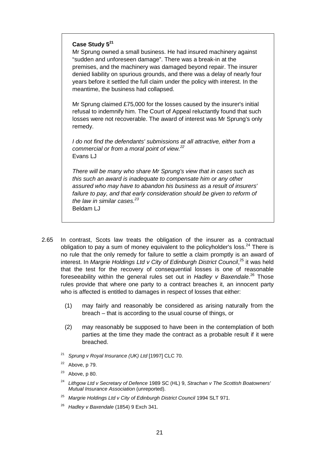#### **Case Study 5<sup>21</sup>**

Mr Sprung owned a small business. He had insured machinery against "sudden and unforeseen damage". There was a break-in at the premises, and the machinery was damaged beyond repair. The insurer denied liability on spurious grounds, and there was a delay of nearly four years before it settled the full claim under the policy with interest. In the meantime, the business had collapsed.

Mr Sprung claimed £75,000 for the losses caused by the insurer's initial refusal to indemnify him. The Court of Appeal reluctantly found that such losses were not recoverable. The award of interest was Mr Sprung's only remedy.

*I do not find the defendants' submissions at all attractive, either from a commercial or from a moral point of view.22* Evans LJ

*There will be many who share Mr Sprung's view that in cases such as this such an award is inadequate to compensate him or any other assured who may have to abandon his business as a result of insurers' failure to pay, and that early consideration should be given to reform of* the law in similar cases.<sup>23</sup> Beldam LJ

- 2.65 In contrast, Scots law treats the obligation of the insurer as a contractual obligation to pay a sum of money equivalent to the policyholder's loss.<sup>24</sup> There is no rule that the only remedy for failure to settle a claim promptly is an award of interest. In Margrie Holdings Ltd v City of Edinburgh District Council,<sup>25</sup> it was held that the test for the recovery of consequential losses is one of reasonable foreseeability within the general rules set out in *Hadley v Baxendale*. 26 Those rules provide that where one party to a contract breaches it, an innocent party who is affected is entitled to damages in respect of losses that either:
	- (1) may fairly and reasonably be considered as arising naturally from the breach – that is according to the usual course of things, or
	- (2) may reasonably be supposed to have been in the contemplation of both parties at the time they made the contract as a probable result if it were breached.
	- <sup>21</sup> *Sprung v Royal Insurance (UK) Ltd* [1997] CLC 70.
	- $22$  Above, p 79.
	- $23$  Above, p 80.
	- <sup>24</sup> *Lithgow Ltd v Secretary of Defence* 1989 SC (HL) 9, *Strachan v The Scottish Boatowners' Mutual Insurance Association* (unreported).
	- <sup>25</sup> *Margrie Holdings Ltd v City of Edinburgh District Council* 1994 SLT 971.
	- <sup>26</sup> *Hadley v Baxendale* (1854) 9 Exch 341.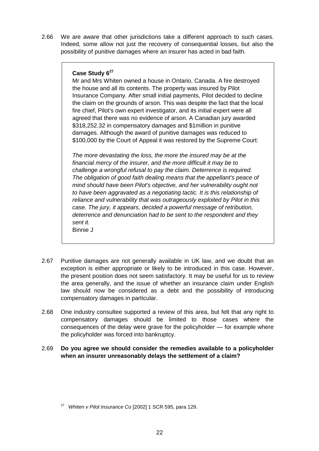2.66 We are aware that other jurisdictions take a different approach to such cases. Indeed, some allow not just the recovery of consequential losses, but also the possibility of punitive damages where an insurer has acted in bad faith.

#### **Case Study 6<sup>27</sup>**

Mr and Mrs Whiten owned a house in Ontario, Canada. A fire destroyed the house and all its contents. The property was insured by Pilot Insurance Company. After small initial payments, Pilot decided to decline the claim on the grounds of arson. This was despite the fact that the local fire chief, Pilot's own expert investigator, and its initial expert were all agreed that there was no evidence of arson. A Canadian jury awarded \$318,252.32 in compensatory damages and \$1 million in punitive damages. Although the award of punitive damages was reduced to \$100,000 by the Court of Appeal it was restored by the Supreme Court:

*The more devastating the loss, the more the insured may be at the financial mercy of the insurer, and the more difficult it may be to challenge a wrongful refusal to pay the claim. Deterrence is required. The obligation of good faith dealing means that the appellant's peace of mind should have been Pilot's objective, and her vulnerability ought not to have been aggravated as a negotiating tactic. It is this relationship of reliance and vulnerability that was outrageously exploited by Pilot in this case. The jury, it appears, decided a powerful message of retribution, deterrence and denunciation had to be sent to the respondent and they sent it.* Binnie J

- 2.67 Punitive damages are not generally available in UK law, and we doubt that an exception is either appropriate or likely to be introduced in this case. However, the present position does not seem satisfactory. It may be useful for us to review the area generally, and the issue of whether an insurance claim under English law should now be considered as a debt and the possibility of introducing compensatory damages in particular.
- 2.68 One industry consultee supported a review of this area, but felt that any right to compensatory damages should be limited to those cases where the consequences of the delay were grave for the policyholder — for example where the policyholder was forced into bankruptcy.
- 2.69 **Do you agree we should consider the remedies available to a policyholder when an insurer unreasonably delays the settlement of a claim?**

<sup>27</sup> *Whiten v Pilot Insurance Co* [2002] 1 SCR 595, para 129.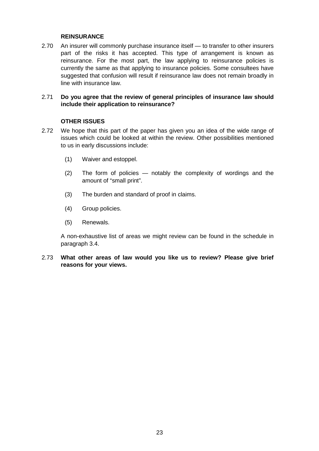#### **REINSURANCE**

2.70 An insurer will commonly purchase insurance itself — to transfer to other insurers part of the risks it has accepted. This type of arrangement is known as reinsurance. For the most part, the law applying to reinsurance policies is currently the same as that applying to insurance policies. Some consultees have suggested that confusion will result if reinsurance law does not remain broadly in line with insurance law.

#### 2.71 **Do you agree that the review of general principles of insurance law should include their application to reinsurance?**

#### **OTHER ISSUES**

- 2.72 We hope that this part of the paper has given you an idea of the wide range of issues which could be looked at within the review. Other possibilities mentioned to us in early discussions include:
	- (1) Waiver and estoppel.
	- (2) The form of policies notably the complexity of wordings and the amount of "small print".
	- (3) The burden and standard of proof in claims.
	- (4) Group policies.
	- (5) Renewals.

A non-exhaustive list of areas we might review can be found in the schedule in paragraph 3.4.

2.73 **What other areas of law would you like us to review? Please give brief reasons for your views.**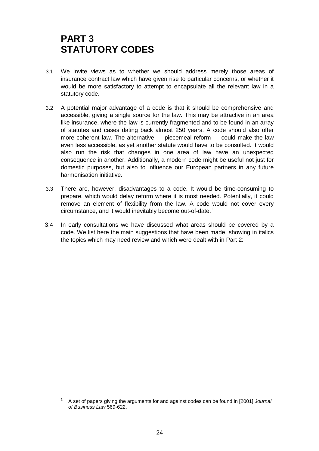### **PART 3 STATUTORY CODES**

- 3.1 We invite views as to whether we should address merely those areas of insurance contract law which have given rise to particular concerns, or whether it would be more satisfactory to attempt to encapsulate all the relevant law in a statutory code.
- 3.2 A potential major advantage of a code is that it should be comprehensive and accessible, giving a single source for the law. This may be attractive in an area like insurance, where the law is currently fragmented and to be found in an array of statutes and cases dating back almost 250 years. A code should also offer more coherent law. The alternative — piecemeal reform — could make the law even less accessible, as yet another statute would have to be consulted. It would also run the risk that changes in one area of law have an unexpected consequence in another. Additionally, a modern code might be useful not just for domestic purposes, but also to influence our European partners in any future harmonisation initiative.
- 3.3 There are, however, disadvantages to a code. It would be time-consuming to prepare, which would delay reform where it is most needed. Potentially, it could remove an element of flexibility from the law. A code would not cover every circumstance, and it would inevitably become out-of-date.<sup>1</sup>
- 3.4 In early consultations we have discussed what areas should be covered by a code. We list here the main suggestions that have been made, showing in italics the topics which may need review and which were dealt with in Part 2:

<sup>1</sup> A set of papers giving the arguments for and against codes can be found in [2001] *Journal of Business Law* 569-622.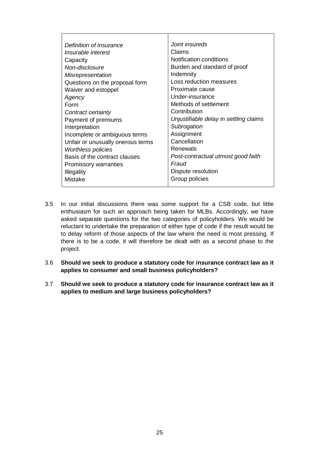| Definition of insurance           | Joint insureds                         |
|-----------------------------------|----------------------------------------|
|                                   | Claims                                 |
| Insurable interest                |                                        |
| Capacity                          | Notification conditions                |
| Non-disclosure                    | Burden and standard of proof           |
| <b>Misrepresentation</b>          | Indemnity                              |
| Questions on the proposal form    | Loss reduction measures                |
| Waiver and estoppel               | Proximate cause                        |
| Agency                            | Under-insurance                        |
| Form                              | Methods of settlement                  |
| Contract certainty                | Contribution                           |
| Payment of premiums               | Unjustifiable delay in settling claims |
| Interpretation                    | Subrogation                            |
| Incomplete or ambiguous terms     | Assignment                             |
| Unfair or unusually onerous terms | Cancellation                           |
| <b>Worthless policies</b>         | Renewals                               |
| Basis of the contract clauses     | Post-contractual utmost good faith     |
| <b>Promissory warranties</b>      | Fraud                                  |
| <b>Illegality</b>                 | Dispute resolution                     |
| Mistake                           | Group policies                         |
|                                   |                                        |

- 3.5 In our initial discussions there was some support for a CSB code, but little enthusiasm for such an approach being taken for MLBs. Accordingly, we have asked separate questions for the two categories of policyholders. We would be reluctant to undertake the preparation of either type of code if the result would be to delay reform of those aspects of the law where the need is most pressing. If there is to be a code, it will therefore be dealt with as a second phase to the project.
- 3.6 **Should we seek to produce a statutory code for insurance contract law as it applies to consumer and small business policyholders?**
- 3.7 **Should we seek to produce a statutory code for insurance contract law as it applies to medium and large business policyholders?**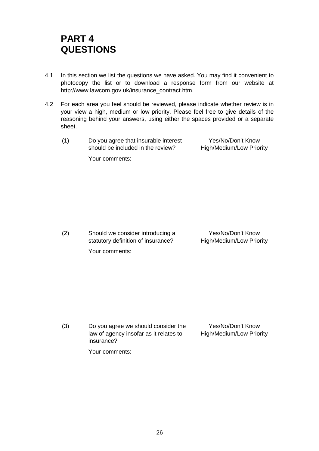### **PART 4 QUESTIONS**

- 4.1 In this section we list the questions we have asked. You may find it convenient to photocopy the list or to download a response form from our website at http://www.lawcom.gov.uk/insurance\_contract.htm.
- 4.2 For each area you feel should be reviewed, please indicate whether review is in your view a high, medium or low priority. Please feel free to give details of the reasoning behind your answers, using either the spaces provided or a separate sheet.
	- (1) Do you agree that insurable interest should be included in the review?

Yes/No/Don't Know High/Medium/Low Priority

Your comments:

(2) Should we consider introducing a statutory definition of insurance? Your comments:

Yes/No/Don't Know High/Medium/Low Priority

(3) Do you agree we should consider the law of agency insofar as it relates to insurance? Yes/No/Don't Know High/Medium/Low Priority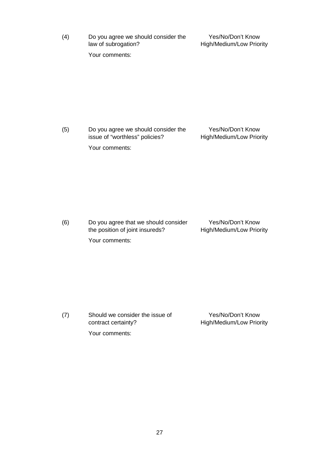(4) Do you agree we should consider the law of subrogation?

Yes/No/Don't Know High/Medium/Low Priority

Your comments:

(5) Do you agree we should consider the issue of "worthless" policies? Yes/No/Don't Know High/Medium/Low Priority Your comments:

(6) Do you agree that we should consider the position of joint insureds? Yes/No/Don't Know High/Medium/Low Priority

Your comments:

Yes/No/Don't Know

(7) Should we consider the issue of contract certainty?

High/Medium/Low Priority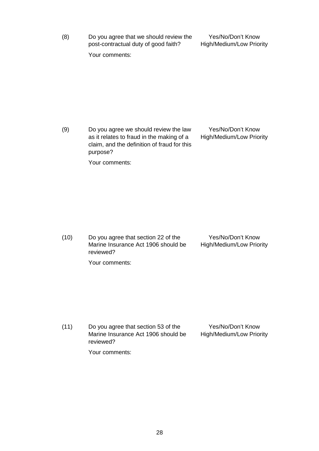(8) Do you agree that we should review the post-contractual duty of good faith?

Yes/No/Don't Know High/Medium/Low Priority

Your comments:

(9) Do you agree we should review the law as it relates to fraud in the making of a claim, and the definition of fraud for this purpose? Yes/No/Don't Know High/Medium/Low Priority

Your comments:

(10) Do you agree that section 22 of the Marine Insurance Act 1906 should be reviewed? Yes/No/Don't Know High/Medium/Low Priority

Your comments:

(11) Do you agree that section 53 of the Marine Insurance Act 1906 should be reviewed? Yes/No/Don't Know High/Medium/Low Priority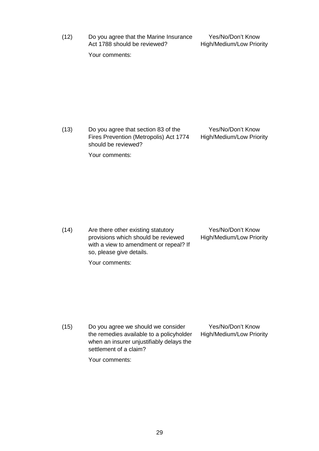(12) Do you agree that the Marine Insurance Act 1788 should be reviewed?

Yes/No/Don't Know High/Medium/Low Priority

Your comments:

(13) Do you agree that section 83 of the Fires Prevention (Metropolis) Act 1774 should be reviewed?

Your comments:

Yes/No/Don't Know High/Medium/Low Priority

(14) Are there other existing statutory provisions which should be reviewed with a view to amendment or repeal? If so, please give details.

Yes/No/Don't Know High/Medium/Low Priority

Your comments:

(15) Do you agree we should we consider the remedies available to a policyholder when an insurer unjustifiably delays the settlement of a claim?

Yes/No/Don't Know High/Medium/Low Priority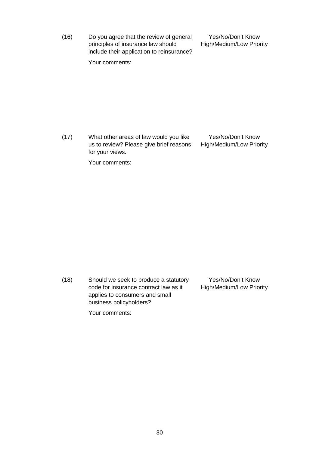(16) Do you agree that the review of general principles of insurance law should include their application to reinsurance?

Yes/No/Don't Know High/Medium/Low Priority

Your comments:

(17) What other areas of law would you like us to review? Please give brief reasons for your views. Yes/No/Don't Know High/Medium/Low Priority

Your comments:

(18) Should we seek to produce a statutory code for insurance contract law as it applies to consumers and small business policyholders? Yes/No/Don't Know High/Medium/Low Priority

Your comments:

30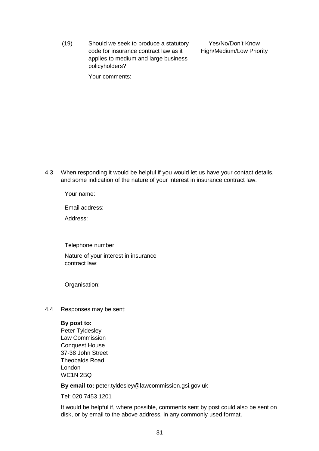(19) Should we seek to produce a statutory code for insurance contract law as it applies to medium and large business policyholders?

Yes/No/Don't Know High/Medium/Low Priority

Your comments:

4.3 When responding it would be helpful if you would let us have your contact details, and some indication of the nature of your interest in insurance contract law.

Your name:

Email address:

Address:

Telephone number:

Nature of your interest in insurance contract law:

Organisation:

4.4 Responses may be sent:

#### **By post to:**

Peter Tyldesley Law Commission Conquest House 37-38 John Street Theobalds Road London WC1N 2BQ

**By email to:** peter.tyldesley@lawcommission.gsi.gov.uk

Tel: 020 7453 1201

It would be helpful if, where possible, comments sent by post could also be sent on disk, or by email to the above address, in any commonly used format.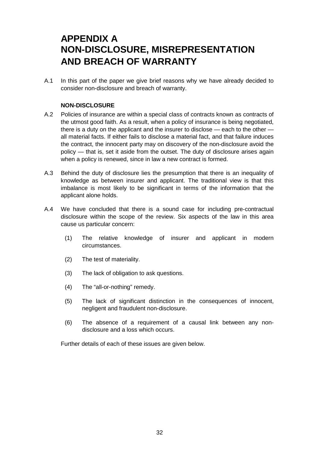### **APPENDIX A NON-DISCLOSURE, MISREPRESENTATION AND BREACH OF WARRANTY**

A.1 In this part of the paper we give brief reasons why we have already decided to consider non-disclosure and breach of warranty.

#### **NON-DISCLOSURE**

- A.2 Policies of insurance are within a special class of contracts known as contracts of the utmost good faith. As a result, when a policy of insurance is being negotiated, there is a duty on the applicant and the insurer to disclose — each to the other all material facts. If either fails to disclose a material fact, and that failure induces the contract, the innocent party may on discovery of the non-disclosure avoid the policy — that is, set it aside from the outset. The duty of disclosure arises again when a policy is renewed, since in law a new contract is formed.
- A.3 Behind the duty of disclosure lies the presumption that there is an inequality of knowledge as between insurer and applicant. The traditional view is that this imbalance is most likely to be significant in terms of the information that the applicant alone holds.
- A.4 We have concluded that there is a sound case for including pre-contractual disclosure within the scope of the review. Six aspects of the law in this area cause us particular concern:
	- (1) The relative knowledge of insurer and applicant in modern circumstances.
	- (2) The test of materiality.
	- (3) The lack of obligation to ask questions.
	- (4) The "all-or-nothing" remedy.
	- (5) The lack of significant distinction in the consequences of innocent, negligent and fraudulent non-disclosure.
	- (6) The absence of a requirement of a causal link between any nondisclosure and a loss which occurs.

Further details of each of these issues are given below.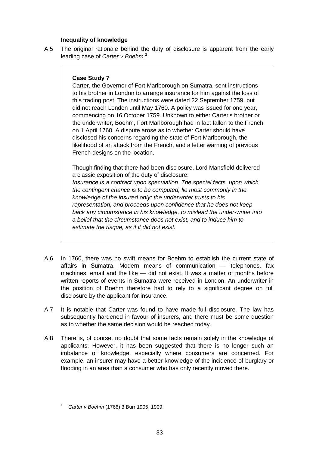#### **Inequality of knowledge**

A.5 The original rationale behind the duty of disclosure is apparent from the early leading case of *Carter v Boehm*. **1**

#### **Case Study 7**

Carter, the Governor of Fort Marlborough on Sumatra, sent instructions to his brother in London to arrange insurance for him against the loss of this trading post. The instructions were dated 22 September 1759, but did not reach London until May 1760. A policy was issued for one year, commencing on 16 October 1759. Unknown to either Carter's brother or the underwriter, Boehm, Fort Marlborough had in fact fallen to the French on 1 April 1760. A dispute arose as to whether Carter should have disclosed his concerns regarding the state of Fort Marlborough, the likelihood of an attack from the French, and a letter warning of previous French designs on the location.

Though finding that there had been disclosure, Lord Mansfield delivered a classic exposition of the duty of disclosure: *Insurance is a contract upon speculation. The special facts, upon which the contingent chance is to be computed, lie most commonly in the knowledge of the insured only: the underwriter trusts to his representation, and proceeds upon confidence that he does not keep back any circumstance in his knowledge, to mislead the under-writer into a belief that the circumstance does not exist, and to induce him to estimate the risque, as if it did not exist.*

- A.6 In 1760, there was no swift means for Boehm to establish the current state of affairs in Sumatra. Modern means of communication — telephones, fax machines, email and the like — did not exist. It was a matter of months before written reports of events in Sumatra were received in London. An underwriter in the position of Boehm therefore had to rely to a significant degree on full disclosure by the applicant for insurance.
- A.7 It is notable that Carter was found to have made full disclosure. The law has subsequently hardened in favour of insurers, and there must be some question as to whether the same decision would be reached today.
- A.8 There is, of course, no doubt that some facts remain solely in the knowledge of applicants. However, it has been suggested that there is no longer such an imbalance of knowledge, especially where consumers are concerned. For example, an insurer may have a better knowledge of the incidence of burglary or flooding in an area than a consumer who has only recently moved there.

<sup>1</sup> *Carter v Boehm* (1766) 3 Burr 1905, 1909.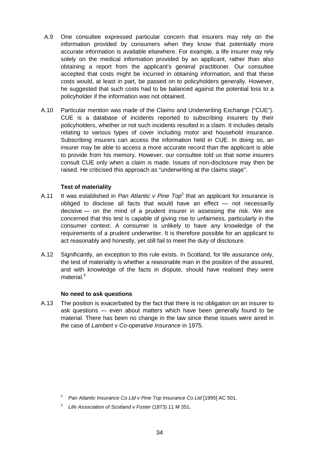- A.9 One consultee expressed particular concern that insurers may rely on the information provided by consumers when they know that potentially more accurate information is available elsewhere. For example, a life insurer may rely solely on the medical information provided by an applicant, rather than also obtaining a report from the applicant's general practitioner. Our consultee accepted that costs might be incurred in obtaining information, and that these costs would, at least in part, be passed on to policyholders generally. However, he suggested that such costs had to be balanced against the potential loss to a policyholder if the information was not obtained.
- A.10 Particular mention was made of the Claims and Underwriting Exchange ("CUE"). CUE is a database of incidents reported to subscribing insurers by their policyholders, whether or not such incidents resulted in a claim. It includes details relating to various types of cover including motor and household insurance. Subscribing insurers can access the information held in CUE. In doing so, an insurer may be able to access a more accurate record than the applicant is able to provide from his memory. However, our consultee told us that some insurers consult CUE only when a claim is made. Issues of non-disclosure may then be raised. He criticised this approach as "underwriting at the claims stage".

#### **Test of materiality**

- A.11 It was established in *Pan Atlantic v Pine Top*<sup>2</sup> that an applicant for insurance is obliged to disclose all facts that would have an effect — not necessarily decisive — on the mind of a prudent insurer in assessing the risk. We are concerned that this test is capable of giving rise to unfairness, particularly in the consumer context. A consumer is unlikely to have any knowledge of the requirements of a prudent underwriter. It is therefore possible for an applicant to act reasonably and honestly, yet still fail to meet the duty of disclosure.
- A.12 Significantly, an exception to this rule exists. In Scotland, for life assurance only, the test of materiality is whether a reasonable man in the position of the assured, and with knowledge of the facts in dispute, should have realised they were  $m$ aterial. $3<sup>3</sup>$

#### **No need to ask questions**

A.13 The position is exacerbated by the fact that there is no obligation on an insurer to ask questions — even about matters which have been generally found to be material. There has been no change in the law since these issues were aired in the case of *Lambert v Co-operative Insurance* in 1975.

<sup>&</sup>lt;sup>2</sup> Pan Atlantic Insurance Co Ltd v Pine Top Insurance Co Ltd [1995] AC 501.

<sup>3</sup> *Life Association of Scotland v Foster* (1873) 11 M 351.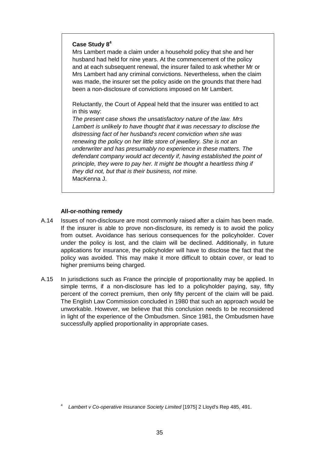#### **Case Study 8<sup>4</sup>**

Mrs Lambert made a claim under a household policy that she and her husband had held for nine years. At the commencement of the policy and at each subsequent renewal, the insurer failed to ask whether Mr or Mrs Lambert had any criminal convictions. Nevertheless, when the claim was made, the insurer set the policy aside on the grounds that there had been a non-disclosure of convictions imposed on Mr Lambert.

Reluctantly, the Court of Appeal held that the insurer was entitled to act in this way:

*The present case shows the unsatisfactory nature of the law. Mrs Lambert is unlikely to have thought that it was necessary to disclose the distressing fact of her husband's recent conviction when she was renewing the policy on her little store of jewellery. She is not an underwriter and has presumably no experience in these matters. The defendant company would act decently if, having established the point of principle, they were to pay her. It might be thought a heartless thing if they did not, but that is their business, not mine.* MacKenna J.

#### **All-or-nothing remedy**

- A.14 Issues of non-disclosure are most commonly raised after a claim has been made. If the insurer is able to prove non-disclosure, its remedy is to avoid the policy from outset. Avoidance has serious consequences for the policyholder. Cover under the policy is lost, and the claim will be declined. Additionally, in future applications for insurance, the policyholder will have to disclose the fact that the policy was avoided. This may make it more difficult to obtain cover, or lead to higher premiums being charged.
- A.15 In jurisdictions such as France the principle of proportionality may be applied. In simple terms, if a non-disclosure has led to a policyholder paying, say, fifty percent of the correct premium, then only fifty percent of the claim will be paid. The English Law Commission concluded in 1980 that such an approach would be unworkable. However, we believe that this conclusion needs to be reconsidered in light of the experience of the Ombudsmen. Since 1981, the Ombudsmen have successfully applied proportionality in appropriate cases.

<sup>4</sup> *Lambert v Co-operative Insurance Society Limited* [1975] 2 Lloyd's Rep 485, 491.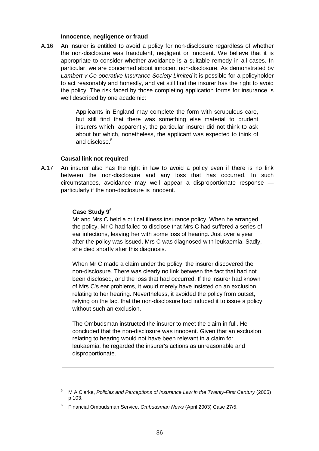#### **Innocence, negligence or fraud**

A.16 An insurer is entitled to avoid a policy for non-disclosure regardless of whether the non-disclosure was fraudulent, negligent or innocent. We believe that it is appropriate to consider whether avoidance is a suitable remedy in all cases. In particular, we are concerned about innocent non-disclosure. As demonstrated by *Lambert v Co-operative Insurance Society Limited* it is possible for a policyholder to act reasonably and honestly, and yet still find the insurer has the right to avoid the policy. The risk faced by those completing application forms for insurance is well described by one academic:

> Applicants in England may complete the form with scrupulous care, but still find that there was something else material to prudent insurers which, apparently, the particular insurer did not think to ask about but which, nonetheless, the applicant was expected to think of and disclose.<sup>5</sup>

#### **Causal link not required**

A.17 An insurer also has the right in law to avoid a policy even if there is no link between the non-disclosure and any loss that has occurred. In such circumstances, avoidance may well appear a disproportionate response particularly if the non-disclosure is innocent.

#### **Case Study 9<sup>6</sup>**

Mr and Mrs C held a critical illness insurance policy. When he arranged the policy, Mr C had failed to disclose that Mrs C had suffered a series of ear infections, leaving her with some loss of hearing. Just over a year after the policy was issued, Mrs C was diagnosed with leukaemia. Sadly, she died shortly after this diagnosis.

When Mr C made a claim under the policy, the insurer discovered the non-disclosure. There was clearly no link between the fact that had not been disclosed, and the loss that had occurred. If the insurer had known of Mrs C's ear problems, it would merely have insisted on an exclusion relating to her hearing. Nevertheless, it avoided the policy from outset, relying on the fact that the non-disclosure had induced it to issue a policy without such an exclusion.

The Ombudsman instructed the insurer to meet the claim in full. He concluded that the non-disclosure was innocent. Given that an exclusion relating to hearing would not have been relevant in a claim for leukaemia, he regarded the insurer's actions as unreasonable and disproportionate.

<sup>5</sup> M A Clarke, *Policies and Perceptions of Insurance Law in the Twenty-First Century* (2005) p 103.

<sup>6</sup> Financial Ombudsman Service, *Ombudsman News* (April 2003) Case 27/5.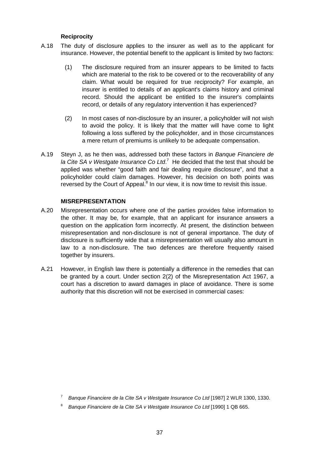#### **Reciprocity**

- A.18 The duty of disclosure applies to the insurer as well as to the applicant for insurance. However, the potential benefit to the applicant is limited by two factors:
	- (1) The disclosure required from an insurer appears to be limited to facts which are material to the risk to be covered or to the recoverability of any claim. What would be required for true reciprocity? For example, an insurer is entitled to details of an applicant's claims history and criminal record. Should the applicant be entitled to the insurer's complaints record, or details of any regulatory intervention it has experienced?
	- (2) In most cases of non-disclosure by an insurer, a policyholder will not wish to avoid the policy. It is likely that the matter will have come to light following a loss suffered by the policyholder, and in those circumstances a mere return of premiums is unlikely to be adequate compensation.
- A.19 Steyn J, as he then was, addressed both these factors in *Banque Financiere de* la Cite SA v Westgate Insurance Co Ltd.<sup>7</sup> He decided that the test that should be applied was whether "good faith and fair dealing require disclosure", and that a policyholder could claim damages. However, his decision on both points was reversed by the Court of Appeal. $8$  In our view, it is now time to revisit this issue.

#### **MISREPRESENTATION**

- A.20 Misrepresentation occurs where one of the parties provides false information to the other. It may be, for example, that an applicant for insurance answers a question on the application form incorrectly. At present, the distinction between misrepresentation and non-disclosure is not of general importance. The duty of disclosure is sufficiently wide that a misrepresentation will usually also amount in law to a non-disclosure. The two defences are therefore frequently raised together by insurers.
- A.21 However, in English law there is potentially a difference in the remedies that can be granted by a court. Under section 2(2) of the Misrepresentation Act 1967, a court has a discretion to award damages in place of avoidance. There is some authority that this discretion will not be exercised in commercial cases:

<sup>7</sup> *Banque Financiere de la Cite SA v Westgate Insurance Co Ltd* [1987] 2 WLR 1300, 1330.

<sup>8</sup> *Banque Financiere de la Cite SA v Westgate Insurance Co Ltd* [1990] 1 QB 665.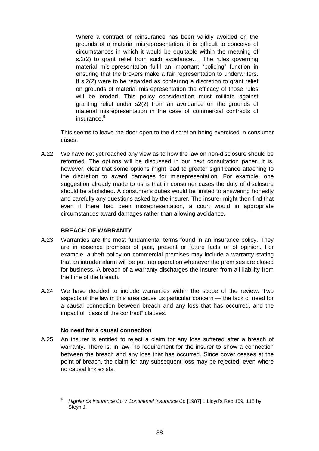Where a contract of reinsurance has been validly avoided on the grounds of a material misrepresentation, it is difficult to conceive of circumstances in which it would be equitable within the meaning of s.2(2) to grant relief from such avoidance…. The rules governing material misrepresentation fulfil an important "policing" function in ensuring that the brokers make a fair representation to underwriters. If s.2(2) were to be regarded as conferring a discretion to grant relief on grounds of material misrepresentation the efficacy of those rules will be eroded. This policy consideration must militate against granting relief under s2(2) from an avoidance on the grounds of material misrepresentation in the case of commercial contracts of insurance.<sup>9</sup>

This seems to leave the door open to the discretion being exercised in consumer cases.

A.22 We have not yet reached any view as to how the law on non-disclosure should be reformed. The options will be discussed in our next consultation paper. It is, however, clear that some options might lead to greater significance attaching to the discretion to award damages for misrepresentation. For example, one suggestion already made to us is that in consumer cases the duty of disclosure should be abolished. A consumer's duties would be limited to answering honestly and carefully any questions asked by the insurer. The insurer might then find that even if there had been misrepresentation, a court would in appropriate circumstances award damages rather than allowing avoidance.

#### **BREACH OF WARRANTY**

- A.23 Warranties are the most fundamental terms found in an insurance policy. They are in essence promises of past, present or future facts or of opinion. For example, a theft policy on commercial premises may include a warranty stating that an intruder alarm will be put into operation whenever the premises are closed for business. A breach of a warranty discharges the insurer from all liability from the time of the breach.
- A.24 We have decided to include warranties within the scope of the review. Two aspects of the law in this area cause us particular concern — the lack of need for a causal connection between breach and any loss that has occurred, and the impact of "basis of the contract" clauses.

#### **No need for a causal connection**

A.25 An insurer is entitled to reject a claim for any loss suffered after a breach of warranty. There is, in law, no requirement for the insurer to show a connection between the breach and any loss that has occurred. Since cover ceases at the point of breach, the claim for any subsequent loss may be rejected, even where no causal link exists.

<sup>9</sup> *Highlands Insurance Co v Continental Insurance Co* [1987] 1 Lloyd's Rep 109, 118 by Steyn J.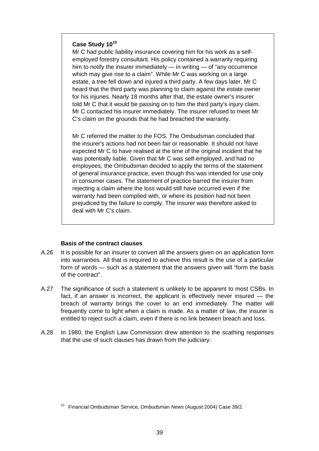#### **Case Study 10<sup>10</sup>**

Mr C had public liability insurance covering him for his work as a selfemployed forestry consultant. His policy contained a warranty requiring him to notify the insurer immediately — in writing — of "any occurrence which may give rise to a claim". While Mr C was working on a large estate, a tree fell down and injured a third party. A few days later, Mr C heard that the third party was planning to claim against the estate owner for his injuries. Nearly 18 months after that, the estate owner's insurer told Mr C that it would be passing on to him the third party's injury claim. Mr C contacted his insurer immediately. The insurer refused to meet Mr C's claim on the grounds that he had breached the warranty.

Mr C referred the matter to the FOS. The Ombudsman concluded that the insurer's actions had not been fair or reasonable. It should not have expected Mr C to have realised at the time of the original incident that he was potentially liable. Given that Mr C was self-employed, and had no employees, the Ombudsman decided to apply the terms of the statement of general insurance practice, even though this was intended for use only in consumer cases. The statement of practice barred the insurer from rejecting a claim where the loss would still have occurred even if the warranty had been complied with, or where its position had not been prejudiced by the failure to comply. The insurer was therefore asked to deal with Mr C's claim.

#### **Basis of the contract clauses**

- A.26 It is possible for an insurer to convert all the answers given on an application form into warranties. All that is required to achieve this result is the use of a particular form of words — such as a statement that the answers given will "form the basis of the contract".
- A.27 The significance of such a statement is unlikely to be apparent to most CSBs. In fact, if an answer is incorrect, the applicant is effectively never insured — the breach of warranty brings the cover to an end immediately. The matter will frequently come to light when a claim is made. As a matter of law, the insurer is entitled to reject such a claim, even if there is no link between breach and loss.
- A.28 In 1980, the English Law Commission drew attention to the scathing responses that the use of such clauses has drawn from the judiciary:

<sup>10</sup> Financial Ombudsman Service, *Ombudsman News* (August 2004) Case 39/2.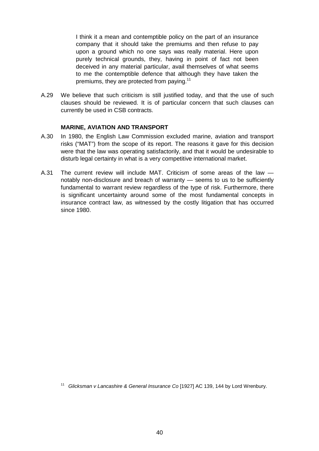I think it a mean and contemptible policy on the part of an insurance company that it should take the premiums and then refuse to pay upon a ground which no one says was really material. Here upon purely technical grounds, they, having in point of fact not been deceived in any material particular, avail themselves of what seems to me the contemptible defence that although they have taken the premiums, they are protected from paying.<sup>11</sup>

A.29 We believe that such criticism is still justified today, and that the use of such clauses should be reviewed. It is of particular concern that such clauses can currently be used in CSB contracts.

#### **MARINE, AVIATION AND TRANSPORT**

- A.30 In 1980, the English Law Commission excluded marine, aviation and transport risks ("MAT") from the scope of its report. The reasons it gave for this decision were that the law was operating satisfactorily, and that it would be undesirable to disturb legal certainty in what is a very competitive international market.
- A.31 The current review will include MAT. Criticism of some areas of the law notably non-disclosure and breach of warranty — seems to us to be sufficiently fundamental to warrant review regardless of the type of risk. Furthermore, there is significant uncertainty around some of the most fundamental concepts in insurance contract law, as witnessed by the costly litigation that has occurred since 1980.

<sup>11</sup> *Glicksman v Lancashire & General Insurance Co* [1927] AC 139, 144 by Lord Wrenbury.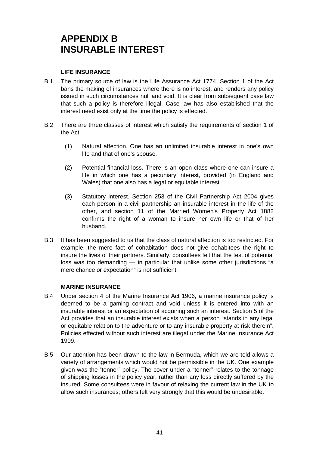## **APPENDIX B INSURABLE INTEREST**

#### **LIFE INSURANCE**

- B.1 The primary source of law is the Life Assurance Act 1774. Section 1 of the Act bans the making of insurances where there is no interest, and renders any policy issued in such circumstances null and void. It is clear from subsequent case law that such a policy is therefore illegal. Case law has also established that the interest need exist only at the time the policy is effected.
- B.2 There are three classes of interest which satisfy the requirements of section 1 of the Act:
	- (1) Natural affection. One has an unlimited insurable interest in one's own life and that of one's spouse.
	- (2) Potential financial loss. There is an open class where one can insure a life in which one has a pecuniary interest, provided (in England and Wales) that one also has a legal or equitable interest.
	- (3) Statutory interest. Section 253 of the Civil Partnership Act 2004 gives each person in a civil partnership an insurable interest in the life of the other, and section 11 of the Married Women's Property Act 1882 confirms the right of a woman to insure her own life or that of her husband.
- B.3 It has been suggested to us that the class of natural affection is too restricted. For example, the mere fact of cohabitation does not give cohabitees the right to insure the lives of their partners. Similarly, consultees felt that the test of potential loss was too demanding — in particular that unlike some other jurisdictions "a mere chance or expectation" is not sufficient.

#### **MARINE INSURANCE**

- B.4 Under section 4 of the Marine Insurance Act 1906, a marine insurance policy is deemed to be a gaming contract and void unless it is entered into with an insurable interest or an expectation of acquiring such an interest. Section 5 of the Act provides that an insurable interest exists when a person "stands in any legal or equitable relation to the adventure or to any insurable property at risk therein". Policies effected without such interest are illegal under the Marine Insurance Act 1909.
- B.5 Our attention has been drawn to the law in Bermuda, which we are told allows a variety of arrangements which would not be permissible in the UK. One example given was the "tonner" policy. The cover under a "tonner" relates to the tonnage of shipping losses in the policy year, rather than any loss directly suffered by the insured. Some consultees were in favour of relaxing the current law in the UK to allow such insurances; others felt very strongly that this would be undesirable.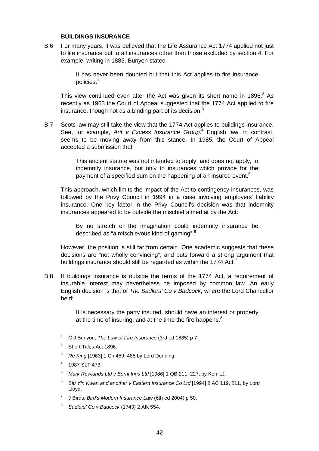#### **BUILDINGS INSURANCE**

B.6 For many years, it was believed that the Life Assurance Act 1774 applied not just to life insurance but to all insurances other than those excluded by section 4. For example, writing in 1885, Bunyon stated

> It has never been doubted but that this Act applies to fire insurance policies.<sup>1</sup>

This view continued even after the Act was given its short name in 1896. $^2$  As recently as 1963 the Court of Appeal suggested that the 1774 Act applied to fire insurance, though not as a binding part of its decision. $3$ 

B.7 Scots law may still take the view that the 1774 Act applies to buildings insurance. See, for example, *Arif v Excess Insurance Group*. 4 English law, in contrast, seems to be moving away from this stance. In 1985, the Court of Appeal accepted a submission that:

> This ancient statute was not intended to apply, and does not apply, to indemnity insurance, but only to insurances which provide for the payment of a specified sum on the happening of an insured event.<sup>5</sup>

This approach, which limits the impact of the Act to contingency insurances, was followed by the Privy Council in 1994 in a case involving employers' liability insurance. One key factor in the Privy Council's decision was that indemnity insurances appeared to be outside the mischief aimed at by the Act:

By no stretch of the imagination could indemnity insurance be described as "a mischievous kind of gaming".<sup>6</sup>

However, the position is still far from certain. One academic suggests that these decisions are "not wholly convincing", and puts forward a strong argument that buildings insurance should still be regarded as within the 1774 Act.<sup>7</sup>

B.8 If buildings insurance is outside the terms of the 1774 Act, a requirement of insurable interest may nevertheless be imposed by common law. An early English decision is that of *The Sadlers' Co v Badcock*, where the Lord Chancellor held:

> It is necessary the party insured, should have an interest or property at the time of insuring, and at the time the fire happens. $8<sup>8</sup>$

- 1 C J Bunyon, *The Law of Fire Insurance* (3rd ed 1885) p 7.
- 2 Short Titles Act 1896.
- <sup>3</sup> *Re King* [1963] 1 Ch 459, 485 by Lord Denning.
- <sup>4</sup> 1987 SLT 473.

<sup>5</sup> *Mark Rowlands Ltd v Berni Inns Ltd* [1986] 1 QB 211, 227, by Kerr LJ.

- <sup>6</sup> *Siu Yin Kwan and another v Eastern Insurance Co Ltd* [1994] 2 AC 119, 211, by Lord Lloyd.
- <sup>7</sup> J Birds, *Bird's Modern Insurance Law* (6th ed 2004) p 50.
- <sup>8</sup> *Sadlers' Co v Badcock* (1743) 2 Atk 554.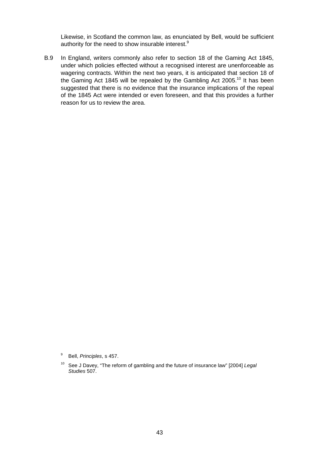Likewise, in Scotland the common law, as enunciated by Bell, would be sufficient authority for the need to show insurable interest.<sup>9</sup>

B.9 In England, writers commonly also refer to section 18 of the Gaming Act 1845, under which policies effected without a recognised interest are unenforceable as wagering contracts. Within the next two years, it is anticipated that section 18 of the Gaming Act 1845 will be repealed by the Gambling Act 2005.<sup>10</sup> It has been suggested that there is no evidence that the insurance implications of the repeal of the 1845 Act were intended or even foreseen, and that this provides a further reason for us to review the area.

<sup>9</sup> Bell, *Principles*, s 457.

<sup>10</sup> See J Davey, "The reform of gambling and the future of insurance law" [2004] *Legal Studies* 507.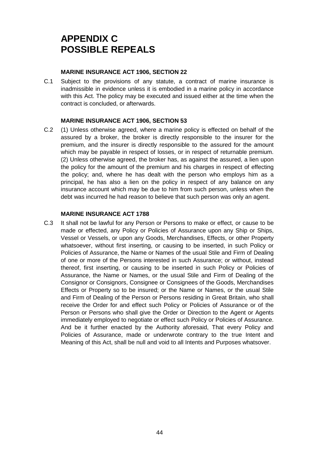## **APPENDIX C POSSIBLE REPEALS**

#### **MARINE INSURANCE ACT 1906, SECTION 22**

C.1 Subject to the provisions of any statute, a contract of marine insurance is inadmissible in evidence unless it is embodied in a marine policy in accordance with this Act. The policy may be executed and issued either at the time when the contract is concluded, or afterwards.

#### **MARINE INSURANCE ACT 1906, SECTION 53**

C.2 (1) Unless otherwise agreed, where a marine policy is effected on behalf of the assured by a broker, the broker is directly responsible to the insurer for the premium, and the insurer is directly responsible to the assured for the amount which may be payable in respect of losses, or in respect of returnable premium. (2) Unless otherwise agreed, the broker has, as against the assured, a lien upon the policy for the amount of the premium and his charges in respect of effecting the policy; and, where he has dealt with the person who employs him as a principal, he has also a lien on the policy in respect of any balance on any insurance account which may be due to him from such person, unless when the debt was incurred he had reason to believe that such person was only an agent.

#### **MARINE INSURANCE ACT 1788**

C.3 It shall not be lawful for any Person or Persons to make or effect, or cause to be made or effected, any Policy or Policies of Assurance upon any Ship or Ships, Vessel or Vessels, or upon any Goods, Merchandises, Effects, or other Property whatsoever, without first inserting, or causing to be inserted, in such Policy or Policies of Assurance, the Name or Names of the usual Stile and Firm of Dealing of one or more of the Persons interested in such Assurance; or without, instead thereof, first inserting, or causing to be inserted in such Policy or Policies of Assurance, the Name or Names, or the usual Stile and Firm of Dealing of the Consignor or Consignors, Consignee or Consignees of the Goods, Merchandises Effects or Property so to be insured; or the Name or Names, or the usual Stile and Firm of Dealing of the Person or Persons residing in Great Britain, who shall receive the Order for and effect such Policy or Policies of Assurance or of the Person or Persons who shall give the Order or Direction to the Agent or Agents immediately employed to negotiate or effect such Policy or Policies of Assurance. And be it further enacted by the Authority aforesaid, That every Policy and Policies of Assurance, made or underwrote contrary to the true Intent and Meaning of this Act, shall be null and void to all Intents and Purposes whatsover.